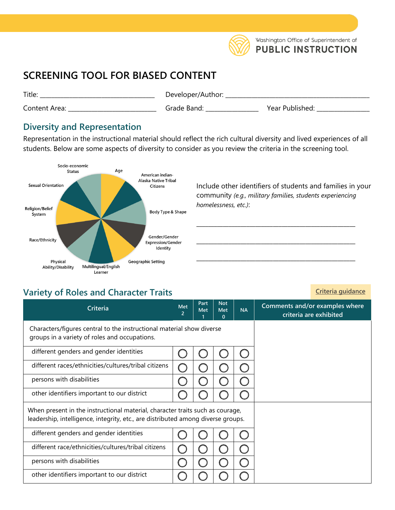

Washington Office of Superintendent of **PUBLIC INSTRUCTION** 

# **SCREENING TOOL FOR BIASED CONTENT**

Title: \_\_\_\_\_\_\_\_\_\_\_\_\_\_\_\_\_\_\_\_\_\_\_\_\_\_\_\_\_\_\_\_\_\_\_\_\_\_\_ Developer/Author: \_\_\_\_\_\_\_\_\_\_\_\_\_\_\_\_\_\_\_\_\_\_\_\_\_\_\_\_\_\_\_\_\_\_\_\_\_\_\_\_\_\_\_\_\_\_\_\_\_ Content Area: \_\_\_\_\_\_\_\_\_\_\_\_\_\_\_\_\_\_\_\_\_\_\_\_\_\_\_\_\_\_\_\_\_\_ Grade Band: \_\_\_\_\_\_\_\_\_\_\_\_\_\_\_\_\_\_\_ Year Published: \_\_\_\_\_\_\_\_\_\_\_\_\_

### <span id="page-0-0"></span>**Diversity and Representation**

Representation in the instructional material should reflect the rich cultural diversity and lived experiences of all students. Below are some aspects of diversity to consider as you review the criteria in the screening tool.



# **Variety of Roles and Character Traits**

**[Criteria guidance](#page-4-0)**

| Criteria                                                                                                                                                          | Met<br>$\overline{2}$ | Part<br>Met | <b>Not</b><br>Met<br>$\Omega$ | <b>NA</b> | Comments and/or examples where<br>criteria are exhibited |
|-------------------------------------------------------------------------------------------------------------------------------------------------------------------|-----------------------|-------------|-------------------------------|-----------|----------------------------------------------------------|
| Characters/figures central to the instructional material show diverse<br>groups in a variety of roles and occupations.                                            |                       |             |                               |           |                                                          |
| different genders and gender identities                                                                                                                           |                       |             |                               |           |                                                          |
| different races/ethnicities/cultures/tribal citizens                                                                                                              |                       |             |                               |           |                                                          |
| persons with disabilities                                                                                                                                         |                       |             |                               |           |                                                          |
| other identifiers important to our district                                                                                                                       |                       |             |                               |           |                                                          |
| When present in the instructional material, character traits such as courage,<br>leadership, intelligence, integrity, etc., are distributed among diverse groups. |                       |             |                               |           |                                                          |
| different genders and gender identities                                                                                                                           |                       |             |                               |           |                                                          |
| different race/ethnicities/cultures/tribal citizens                                                                                                               |                       |             |                               |           |                                                          |
| persons with disabilities                                                                                                                                         |                       |             |                               |           |                                                          |
| other identifiers important to our district                                                                                                                       |                       |             |                               |           |                                                          |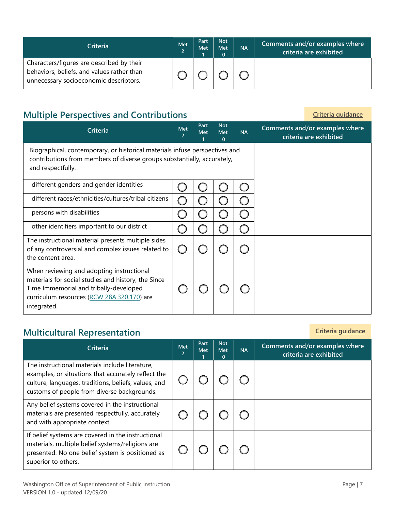| Criteria                                                                                                                          | Met<br>2 | Part<br><b>Met</b> | <b>Not</b><br>Met | <b>NA</b> | Comments and/or examples where<br>criteria are exhibited |
|-----------------------------------------------------------------------------------------------------------------------------------|----------|--------------------|-------------------|-----------|----------------------------------------------------------|
| Characters/figures are described by their<br>behaviors, beliefs, and values rather than<br>unnecessary socioeconomic descriptors. |          |                    |                   |           |                                                          |

# **Multiple Perspectives and Contributions**

**[Criteria guidance](#page-4-1)**

<span id="page-1-0"></span>

| <b>Criteria</b>                                                                                                                                                                                         | Met<br>$\overline{2}$ | Part<br><b>Met</b> | <b>Not</b><br><b>Met</b><br>$\mathbf{0}$ | <b>NA</b> | Comments and/or examples where<br>criteria are exhibited |
|---------------------------------------------------------------------------------------------------------------------------------------------------------------------------------------------------------|-----------------------|--------------------|------------------------------------------|-----------|----------------------------------------------------------|
| Biographical, contemporary, or historical materials infuse perspectives and<br>contributions from members of diverse groups substantially, accurately,<br>and respectfully.                             |                       |                    |                                          |           |                                                          |
| different genders and gender identities                                                                                                                                                                 |                       |                    |                                          |           |                                                          |
| different races/ethnicities/cultures/tribal citizens                                                                                                                                                    |                       |                    |                                          |           |                                                          |
| persons with disabilities                                                                                                                                                                               |                       |                    |                                          |           |                                                          |
| other identifiers important to our district                                                                                                                                                             |                       |                    |                                          |           |                                                          |
| The instructional material presents multiple sides<br>of any controversial and complex issues related to<br>the content area.                                                                           |                       |                    |                                          |           |                                                          |
| When reviewing and adopting instructional<br>materials for social studies and history, the Since<br>Time Immemorial and tribally-developed<br>curriculum resources (RCW 28A.320.170) are<br>integrated. |                       |                    |                                          |           |                                                          |

# **Multicultural Representation**

<span id="page-1-1"></span>

| Criteria                                                                                                                                                                                                      | <b>Met</b><br>$\overline{2}$ | Part<br>Met | <b>Not</b><br><b>Met</b><br>0 | <b>NA</b> | Comments and/or examples where<br>criteria are exhibited |
|---------------------------------------------------------------------------------------------------------------------------------------------------------------------------------------------------------------|------------------------------|-------------|-------------------------------|-----------|----------------------------------------------------------|
| The instructional materials include literature,<br>examples, or situations that accurately reflect the<br>culture, languages, traditions, beliefs, values, and<br>customs of people from diverse backgrounds. |                              |             |                               |           |                                                          |
| Any belief systems covered in the instructional<br>materials are presented respectfully, accurately<br>and with appropriate context.                                                                          |                              |             |                               |           |                                                          |
| If belief systems are covered in the instructional<br>materials, multiple belief systems/religions are<br>presented. No one belief system is positioned as<br>superior to others.                             |                              |             |                               |           |                                                          |

**Criteria guidance**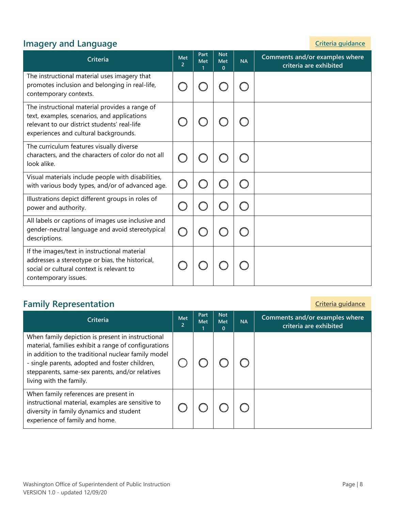# **Imagery and Language**

<span id="page-2-0"></span>

| Criteria                                                                                                                                                                               | Met<br>2 | Part<br>Met | <b>Not</b><br>Met<br>$\mathbf{0}$ | <b>NA</b> | Comments and/or examples where<br>criteria are exhibited |
|----------------------------------------------------------------------------------------------------------------------------------------------------------------------------------------|----------|-------------|-----------------------------------|-----------|----------------------------------------------------------|
| The instructional material uses imagery that<br>promotes inclusion and belonging in real-life,<br>contemporary contexts.                                                               |          |             |                                   |           |                                                          |
| The instructional material provides a range of<br>text, examples, scenarios, and applications<br>relevant to our district students' real-life<br>experiences and cultural backgrounds. |          |             |                                   |           |                                                          |
| The curriculum features visually diverse<br>characters, and the characters of color do not all<br>look alike.                                                                          |          |             |                                   |           |                                                          |
| Visual materials include people with disabilities,<br>with various body types, and/or of advanced age.                                                                                 |          |             |                                   |           |                                                          |
| Illustrations depict different groups in roles of<br>power and authority.                                                                                                              |          |             |                                   |           |                                                          |
| All labels or captions of images use inclusive and<br>gender-neutral language and avoid stereotypical<br>descriptions.                                                                 |          |             |                                   |           |                                                          |
| If the images/text in instructional material<br>addresses a stereotype or bias, the historical,<br>social or cultural context is relevant to<br>contemporary issues.                   |          |             |                                   |           |                                                          |

# **Family Representation**

<span id="page-2-2"></span><span id="page-2-1"></span>

| Criteria                                                                                                                                                                                                                                                                                         | Met<br>2 | Part<br>Met | <b>Not</b><br><b>Met</b><br>0 | <b>NA</b> | Comments and/or examples where<br>criteria are exhibited |
|--------------------------------------------------------------------------------------------------------------------------------------------------------------------------------------------------------------------------------------------------------------------------------------------------|----------|-------------|-------------------------------|-----------|----------------------------------------------------------|
| When family depiction is present in instructional<br>material, families exhibit a range of configurations<br>in addition to the traditional nuclear family model<br>- single parents, adopted and foster children,<br>stepparents, same-sex parents, and/or relatives<br>living with the family. |          |             |                               |           |                                                          |
| When family references are present in<br>instructional material, examples are sensitive to<br>diversity in family dynamics and student<br>experience of family and home.                                                                                                                         |          |             |                               |           |                                                          |

**Criteria guidance**

**Criteria guidance**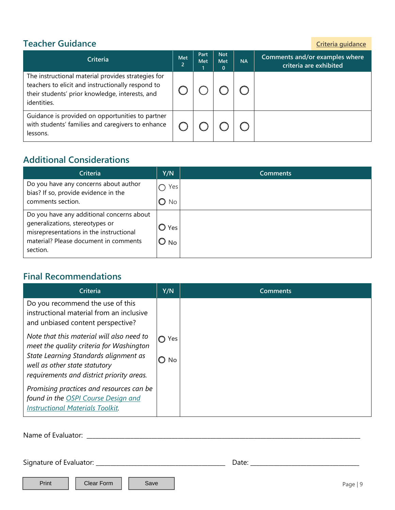### **Teacher Guidance**

**[Criteria guidance](#page-6-0)**

| Criteria                                                                                                                                                                  | Met<br>$\overline{2}$ | Part<br>Met | <b>Not</b><br>Met<br>0 | <b>NA</b> | Comments and/or examples where<br>criteria are exhibited |
|---------------------------------------------------------------------------------------------------------------------------------------------------------------------------|-----------------------|-------------|------------------------|-----------|----------------------------------------------------------|
| The instructional material provides strategies for<br>teachers to elicit and instructionally respond to<br>their students' prior knowledge, interests, and<br>identities. |                       |             |                        |           |                                                          |
| Guidance is provided on opportunities to partner<br>with students' families and caregivers to enhance<br>lessons.                                                         |                       |             |                        |           |                                                          |

# **Additional Considerations**

| <b>Criteria</b>                                                                                                                                                              | Y/N                   | <b>Comments</b> |
|------------------------------------------------------------------------------------------------------------------------------------------------------------------------------|-----------------------|-----------------|
| Do you have any concerns about author<br>bias? If so, provide evidence in the                                                                                                | Yes                   |                 |
| comments section.                                                                                                                                                            | $\bigcirc$ No         |                 |
| Do you have any additional concerns about<br>generalizations, stereotypes or<br>misrepresentations in the instructional<br>material? Please document in comments<br>section. | $\bigcup$ Yes<br>U No |                 |

### **Final Recommendations**

| Criteria                                                                                                                                                                                                     | Y/N                             | <b>Comments</b> |
|--------------------------------------------------------------------------------------------------------------------------------------------------------------------------------------------------------------|---------------------------------|-----------------|
| Do you recommend the use of this<br>instructional material from an inclusive<br>and unbiased content perspective?                                                                                            |                                 |                 |
| Note that this material will also need to<br>meet the quality criteria for Washington<br>State Learning Standards alignment as<br>well as other state statutory<br>requirements and district priority areas. | $\bigcirc$ Yes<br>$\bigcirc$ No |                 |
| Promising practices and resources can be<br>found in the OSPI Course Design and<br><b>Instructional Materials Toolkit.</b>                                                                                   |                                 |                 |

Name of Evaluator: \_\_\_\_\_\_\_\_\_\_\_\_\_\_\_\_\_\_\_\_\_\_\_\_\_\_\_\_\_\_\_\_\_\_\_\_\_\_\_\_\_\_\_\_\_\_\_\_\_\_\_\_\_\_\_\_\_\_\_\_\_\_\_\_\_\_\_\_\_\_\_\_\_\_\_\_\_\_\_\_\_\_\_\_\_\_\_\_\_\_\_\_\_

Signature of Evaluator: \_\_\_\_\_\_\_\_\_\_\_\_\_\_\_\_\_\_\_\_\_\_\_\_\_\_\_\_\_\_\_\_\_\_\_\_\_\_\_\_\_\_\_\_ Date: \_\_\_\_\_\_\_\_\_\_\_\_\_\_\_\_\_\_\_\_\_\_\_\_\_\_\_\_\_\_\_\_\_\_\_\_\_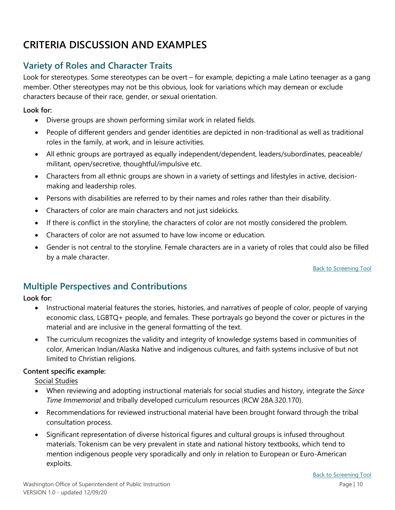# **CRITERIA DISCUSSION AND EXAMPLES**

### <span id="page-4-0"></span>**Variety of Roles and Character Traits**

Look for stereotypes. Some stereotypes can be overt – for example, depicting a male Latino teenager as a gang member. Other stereotypes may not be this obvious, look for variations which may demean or exclude characters because of their race, gender, or sexual orientation.

**Look for:** 

- Diverse groups are shown performing similar work in related fields.
- People of different genders and gender identities are depicted in non-traditional as well as traditional roles in the family, at work, and in leisure activities.
- All ethnic groups are portrayed as equally independent/dependent, leaders/subordinates, peaceable/ militant, open/secretive, thoughtful/impulsive etc.
- Characters from all ethnic groups are shown in a variety of settings and lifestyles in active, decisionmaking and leadership roles.
- Persons with disabilities are referred to by their names and roles rather than their disability.
- Characters of color are main characters and not just sidekicks.
- If there is conflict in the storyline, the characters of color are not mostly considered the problem.
- Characters of color are not assumed to have low income or education.
- Gender is not central to the storyline. Female characters are in a variety of roles that could also be filled by a male character.

[Back to Screening Tool](#page-0-0)

### <span id="page-4-1"></span>**Multiple Perspectives and Contributions**

**Look for:** 

- Instructional material features the stories, histories, and narratives of people of color, people of varying economic class, LGBTQ+ people, and females. These portrayals go beyond the cover or pictures in the material and are inclusive in the general formatting of the text.
- The curriculum recognizes the validity and integrity of knowledge systems based in communities of color, American Indian/Alaska Native and indigenous cultures, and faith systems inclusive of but not limited to Christian religions.

#### **Content specific example:**

Social Studies

- When reviewing and adopting instructional materials for social studies and history, integrate the *Since Time Immemorial* and tribally developed curriculum resources (RCW 28A.320.170).
- Recommendations for reviewed instructional material have been brought forward through the tribal consultation process.
- Significant representation of diverse historical figures and cultural groups is infused throughout materials. Tokenism can be very prevalent in state and national history textbooks, which tend to mention indigenous people very sporadically and only in relation to European or Euro-American exploits.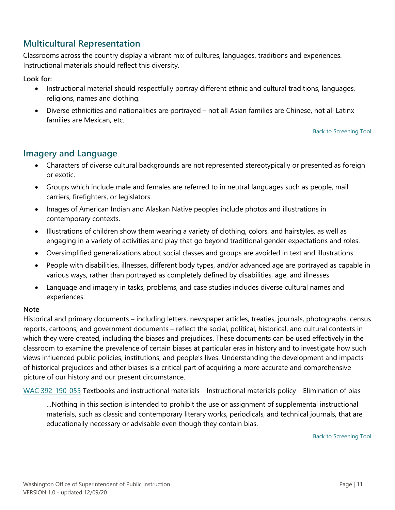### **Multicultural Representation**

Classrooms across the country display a vibrant mix of cultures, languages, traditions and experiences. Instructional materials should reflect this diversity.

#### **Look for:**

- Instructional material should respectfully portray different ethnic and cultural traditions, languages, religions, names and clothing.
- Diverse ethnicities and nationalities are portrayed not all Asian families are Chinese, not all Latinx families are Mexican, etc.

[Back to Screening Tool](#page-1-1)

### **Imagery and Language**

- Characters of diverse cultural backgrounds are not represented stereotypically or presented as foreign or exotic.
- Groups which include male and females are referred to in neutral languages such as people, mail carriers, firefighters, or legislators.
- Images of American Indian and Alaskan Native peoples include photos and illustrations in contemporary contexts.
- Illustrations of children show them wearing a variety of clothing, colors, and hairstyles, as well as engaging in a variety of activities and play that go beyond traditional gender expectations and roles.
- Oversimplified generalizations about social classes and groups are avoided in text and illustrations.
- People with disabilities, illnesses, different body types, and/or advanced age are portrayed as capable in various ways, rather than portrayed as completely defined by disabilities, age, and illnesses
- Language and imagery in tasks, problems, and case studies includes diverse cultural names and experiences.

#### **Note**

Historical and primary documents – including letters, newspaper articles, treaties, journals, photographs, census reports, cartoons, and government documents – reflect the social, political, historical, and cultural contexts in which they were created, including the biases and prejudices. These documents can be used effectively in the classroom to examine the prevalence of certain biases at particular eras in history and to investigate how such views influenced public policies, institutions, and people's lives. Understanding the development and impacts of historical prejudices and other biases is a critical part of acquiring a more accurate and comprehensive picture of our history and our present circumstance.

[WAC 392-190-055](https://app.leg.wa.gov/wac/default.aspx?cite=392-190-055) Textbooks and instructional materials—Instructional materials policy—Elimination of bias

…Nothing in this section is intended to prohibit the use or assignment of supplemental instructional materials, such as classic and contemporary literary works, periodicals, and technical journals, that are educationally necessary or advisable even though they contain bias.

[Back to Screening Tool](#page-2-0)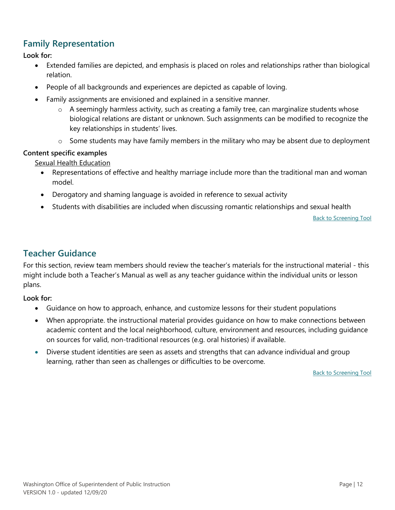### **Family Representation**

**Look for:** 

- Extended families are depicted, and emphasis is placed on roles and relationships rather than biological relation.
- People of all backgrounds and experiences are depicted as capable of loving.
- Family assignments are envisioned and explained in a sensitive manner.
	- $\circ$  A seemingly harmless activity, such as creating a family tree, can marginalize students whose biological relations are distant or unknown. Such assignments can be modified to recognize the key relationships in students' lives.
	- $\circ$  Some students may have family members in the military who may be absent due to deployment

#### **Content specific examples**

Sexual Health Education

- Representations of effective and healthy marriage include more than the traditional man and woman model.
- Derogatory and shaming language is avoided in reference to sexual activity
- Students with disabilities are included when discussing romantic relationships and sexual health

[Back to Screening Tool](#page-2-1)

### <span id="page-6-0"></span>**Teacher Guidance**

For this section, review team members should review the teacher's materials for the instructional material - this might include both a Teacher's Manual as well as any teacher guidance within the individual units or lesson plans.

**Look for:** 

- Guidance on how to approach, enhance, and customize lessons for their student populations
- When appropriate. the instructional material provides guidance on how to make connections between academic content and the local neighborhood, culture, environment and resources, including guidance on sources for valid, non-traditional resources (e.g. oral histories) if available.
- Diverse student identities are seen as assets and strengths that can advance individual and group learning, rather than seen as challenges or difficulties to be overcome[.](#page-2-2)

[Back to Screening Tool](#page-2-2)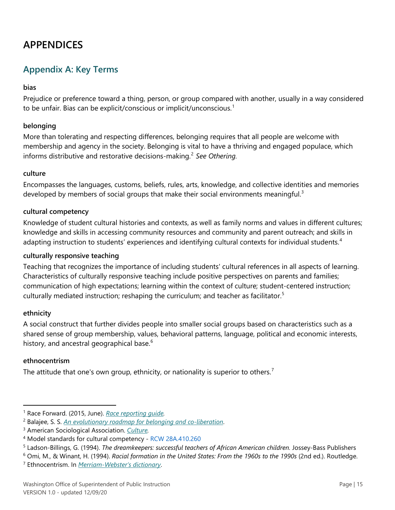# **APPENDICES**

### **Appendix A: Key Terms**

#### **bias**

Prejudice or preference toward a thing, person, or group compared with another, usually in a way considered to be unfair. Bias can be explicit/conscious or implicit/unconscious. $^1$  $^1$ 

#### **belonging**

More than tolerating and respecting differences, belonging requires that all people are welcome with membership and agency in the society. Belonging is vital to have a thriving and engaged populace, which informs distributive and restorative decisions-making.<sup>[2](#page-7-1)</sup> See Othering.

#### **culture**

Encompasses the languages, customs, beliefs, rules, arts, knowledge, and collective identities and memories developed by members of social groups that make their social environments meaningful.<sup>[3](#page-7-2)</sup>

#### **cultural competency**

Knowledge of student cultural histories and contexts, as well as family norms and values in different cultures; knowledge and skills in accessing community resources and community and parent outreach; and skills in adapting instruction to students' experiences and identifying cultural contexts for individual students.<sup>[4](#page-7-3)</sup>

#### **culturally responsive teaching**

Teaching that recognizes the importance of including students' cultural references in all aspects of learning. Characteristics of culturally responsive teaching include positive perspectives on parents and families; communication of high expectations; learning within the context of culture; student-centered instruction; culturally mediated instruction; reshaping the curriculum; and teacher as facilitator.<sup>[5](#page-7-4)</sup>

#### **ethnicity**

A social construct that further divides people into smaller social groups based on characteristics such as a shared sense of group membership, values, behavioral patterns, language, political and economic interests, history, and ancestral geographical base. $6\overline{6}$  $6\overline{6}$ 

#### **ethnocentrism**

The attitude that one's own group, ethnicity, or nationality is superior to others.<sup>[7](#page-7-6)</sup>

<span id="page-7-0"></span><sup>1</sup> Race Forward. (2015, June). *[Race reporting guide.](https://www.raceforward.org/sites/default/files/Race%20Reporting%20Guide%20by%20Race%20Forward_V1.1.pdf)* 

<span id="page-7-1"></span><sup>2</sup> Balajee, S. S. *An evolutionary roadmap for belonging and co-liberation*[.](http://www.otheringandbelonging.org/evolutionary-roadmap-belonging-co-liberation/) 3 American Sociological Association. *[Culture.](https://www.asanet.org/topics/culture#:%7E:text=jpg,make%20their%20social%20environments%20meaningful.)* 

<span id="page-7-2"></span>

<span id="page-7-3"></span><sup>4</sup> Model standards for cultural competency - RCW 28A.410.260

<span id="page-7-4"></span><sup>5</sup> Ladson-Billings, G. (1994). *The dreamkeepers: successful teachers of African American children.* Jossey-Bass Publishers

<span id="page-7-5"></span><sup>6</sup> Omi, M., & Winant, H. (1994). *Racial formation in the United States: From the 1960s to the 1990s* (2nd ed.). Routledge.

<span id="page-7-6"></span><sup>7</sup> Ethnocentrism. In *[Merriam-Webster's dictionary](https://www.merriam-webster.com/dictionary/ethnocentrism)*.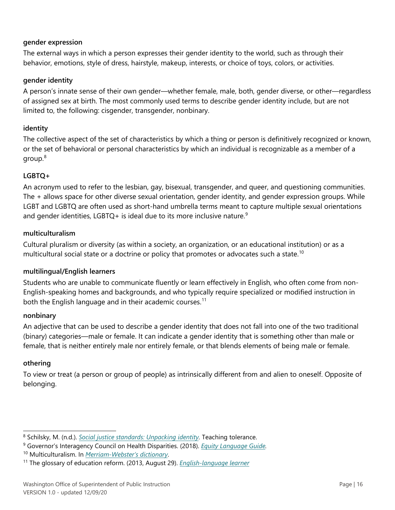#### **gender expression**

The external ways in which a person expresses their gender identity to the world, such as through their behavior, emotions, style of dress, hairstyle, makeup, interests, or choice of toys, colors, or activities.

#### **gender identity**

A person's innate sense of their own gender—whether female, male, both, gender diverse, or other—regardless of assigned sex at birth. The most commonly used terms to describe gender identity include, but are not limited to, the following: cisgender, transgender, nonbinary.

#### **identity**

The collective aspect of the set of characteristics by which a thing or person is definitively recognized or known, or the set of behavioral or personal characteristics by which an individual is recognizable as a member of a group.[8](#page-8-0)

#### **LGBTQ+**

An acronym used to refer to the lesbian, gay, bisexual, transgender, and queer, and questioning communities. The + allows space for other diverse sexual orientation, gender identity, and gender expression groups. While LGBT and LGBTQ are often used as short-hand umbrella terms meant to capture multiple sexual orientations and gender identities, LGBTQ+ is ideal due to its more inclusive nature. $9$ 

#### **multiculturalism**

Cultural pluralism or diversity (as within a society, an organization, or an educational institution) or as a multicultural social state or a doctrine or policy that promotes or advocates such a state.<sup>[10](#page-8-2)</sup>

#### **multilingual/English learners**

Students who are unable to communicate fluently or learn effectively in English, who often come from non-English-speaking homes and backgrounds, and who typically require specialized or modified instruction in both the English language and in their academic courses.<sup>[11](#page-8-3)</sup>

#### **nonbinary**

An adjective that can be used to describe a gender identity that does not fall into one of the two traditional (binary) categories—male or female. It can indicate a gender identity that is something other than male or female, that is neither entirely male nor entirely female, or that blends elements of being male or female.

#### **othering**

To view or treat (a person or group of people) as intrinsically different from and alien to oneself. Opposite of belonging.

<span id="page-8-0"></span><sup>8</sup> Schilsky, M. (n.d.). *[Social justice standards: Unpacking identity.](https://www.merriam-webster.com/dictionary/ethnocentrism)* Teaching tolerance.

<span id="page-8-1"></span><sup>9</sup> Governor's Interagency Council on Health Disparities. (2018). *[Equity Language Guide.](https://www.ofm.wa.gov/sites/default/files/public/shr/Diversity/SubCommit/EquityLanguageGuide_Final.pdf)* 

<sup>10</sup> Multiculturalism. In *[Merriam-Webster's dictionary](https://www.merriam-webster.com/dictionary/multiculturalism)*.

<span id="page-8-3"></span><span id="page-8-2"></span><sup>11</sup> The glossary of education reform. (2013, August 29). *[English-language learner](https://www.edglossary.org/english-language-learner/)*